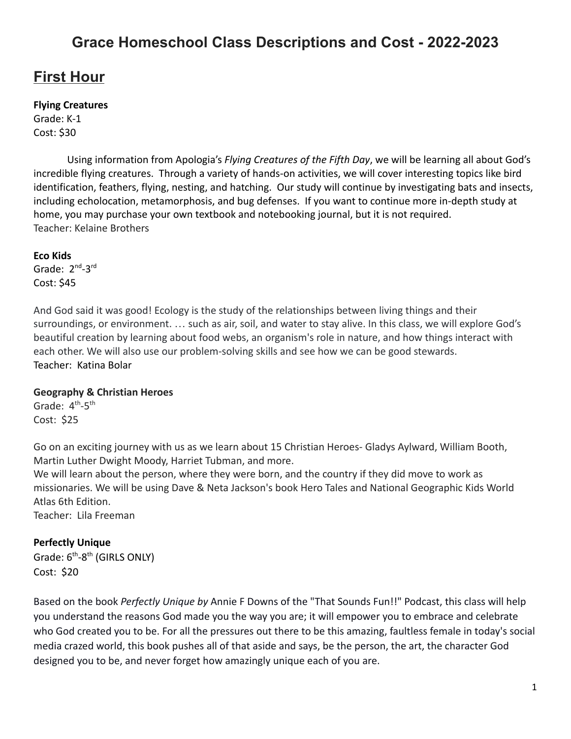# **Grace Homeschool Class Descriptions and Cost - 2022-2023**

# **First Hour**

## **Flying Creatures**

Grade: K-1 Cost: \$30

Using information from Apologia's *Flying Creatures of the Fifth Day*, we will be learning all about God's incredible flying creatures. Through a variety of hands-on activities, we will cover interesting topics like bird identification, feathers, flying, nesting, and hatching. Our study will continue by investigating bats and insects, including echolocation, metamorphosis, and bug defenses. If you want to continue more in-depth study at home, you may purchase your own textbook and notebooking journal, but it is not required. Teacher: Kelaine Brothers

#### **Eco Kids**

Grade: 2<sup>nd</sup>-3<sup>rd</sup> Cost: \$45

And God said it was good! Ecology is the study of the relationships between living things and their surroundings, or environment. … such as air, soil, and water to stay alive. In this class, we will explore God's beautiful creation by learning about food webs, an organism's role in nature, and how things interact with each other. We will also use our problem-solving skills and see how we can be good stewards. Teacher: Katina Bolar

#### **Geography & Christian Heroes**

Grade: 4<sup>th</sup>-5<sup>th</sup> Cost: \$25

Go on an exciting journey with us as we learn about 15 Christian Heroes- Gladys Aylward, William Booth, Martin Luther Dwight Moody, Harriet Tubman, and more.

We will learn about the person, where they were born, and the country if they did move to work as missionaries. We will be using Dave & Neta Jackson's book Hero Tales and National Geographic Kids World Atlas 6th Edition.

Teacher: Lila Freeman

## **Perfectly Unique**

Grade: 6<sup>th</sup>-8<sup>th</sup> (GIRLS ONLY) Cost: \$20

Based on the book *Perfectly Unique by* Annie F Downs of the "That Sounds Fun!!" Podcast, this class will help you understand the reasons God made you the way you are; it will empower you to embrace and celebrate who God created you to be. For all the pressures out there to be this amazing, faultless female in today's social media crazed world, this book pushes all of that aside and says, be the person, the art, the character God designed you to be, and never forget how amazingly unique each of you are.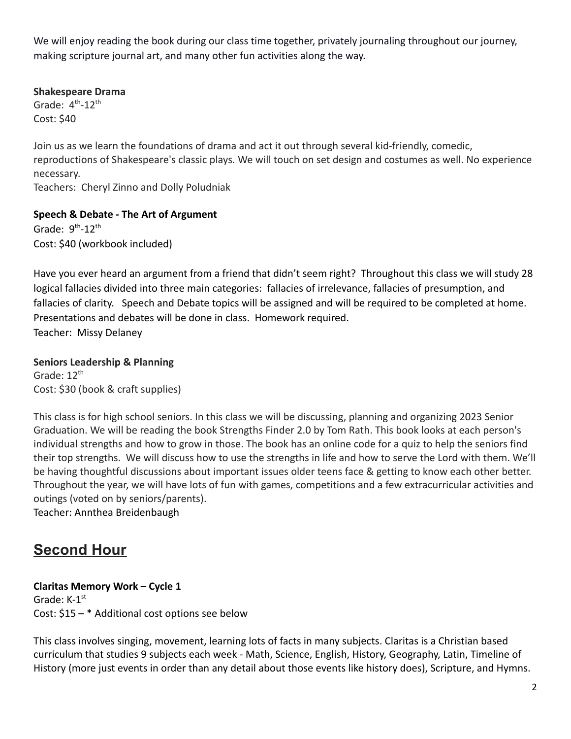We will enjoy reading the book during our class time together, privately journaling throughout our journey, making scripture journal art, and many other fun activities along the way.

## **Shakespeare Drama**

Grade:  $4^{\text{th}}$ -12<sup>th</sup> Cost: \$40

Join us as we learn the foundations of drama and act it out through several kid-friendly, comedic, reproductions of Shakespeare's classic plays. We will touch on set design and costumes as well. No experience necessary.

Teachers: Cheryl Zinno and Dolly Poludniak

**Speech & Debate - The Art of Argument**

Grade:  $9^{th}$ -12<sup>th</sup> Cost: \$40 (workbook included)

Have you ever heard an argument from a friend that didn't seem right? Throughout this class we will study 28 logical fallacies divided into three main categories: fallacies of irrelevance, fallacies of presumption, and fallacies of clarity. Speech and Debate topics will be assigned and will be required to be completed at home. Presentations and debates will be done in class. Homework required. Teacher: Missy Delaney

**Seniors Leadership & Planning** Grade:  $12^{th}$ Cost: \$30 (book & craft supplies)

This class is for high school seniors. In this class we will be discussing, planning and organizing 2023 Senior Graduation. We will be reading the book Strengths Finder 2.0 by Tom Rath. This book looks at each person's individual strengths and how to grow in those. The book has an online code for a quiz to help the seniors find their top strengths. We will discuss how to use the strengths in life and how to serve the Lord with them. We'll be having thoughtful discussions about important issues older teens face & getting to know each other better. Throughout the year, we will have lots of fun with games, competitions and a few extracurricular activities and outings (voted on by seniors/parents).

Teacher: Annthea Breidenbaugh

# **Second Hour**

## **Claritas Memory Work – Cycle 1** Grade:  $K-1^{st}$ Cost: \$15 – \* Additional cost options see below

This class involves singing, movement, learning lots of facts in many subjects. Claritas is a Christian based curriculum that studies 9 subjects each week - Math, Science, English, History, Geography, Latin, Timeline of History (more just events in order than any detail about those events like history does), Scripture, and Hymns.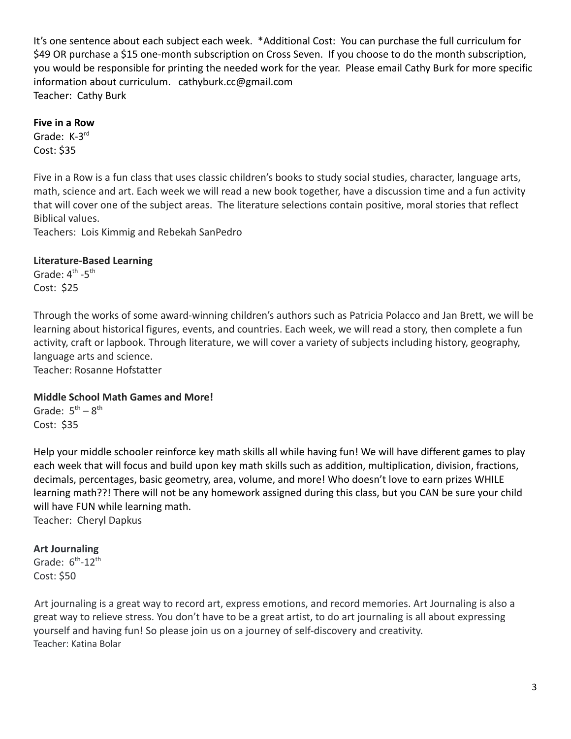It's one sentence about each subject each week. \*Additional Cost: You can purchase the full curriculum for \$49 OR purchase a \$15 one-month subscription on Cross Seven. If you choose to do the month subscription, you would be responsible for printing the needed work for the year. Please email Cathy Burk for more specific information about curriculum. cathyburk.cc@gmail.com Teacher: Cathy Burk

### **Five in a Row**

Grade: K-3<sup>rd</sup> Cost: \$35

Five in a Row is a fun class that uses classic children's books to study social studies, character, language arts, math, science and art. Each week we will read a new book together, have a discussion time and a fun activity that will cover one of the subject areas. The literature selections contain positive, moral stories that reflect Biblical values.

Teachers: Lois Kimmig and Rebekah SanPedro

### **Literature-Based Learning**

Grade:  $4^{\text{th}}$  -5<sup>th</sup> Cost: \$25

Through the works of some award-winning children's authors such as Patricia Polacco and Jan Brett, we will be learning about historical figures, events, and countries. Each week, we will read a story, then complete a fun activity, craft or lapbook. Through literature, we will cover a variety of subjects including history, geography, language arts and science.

Teacher: Rosanne Hofstatter

#### **Middle School Math Games and More!**

Grade:  $5<sup>th</sup> - 8<sup>th</sup>$ Cost: \$35

Help your middle schooler reinforce key math skills all while having fun! We will have different games to play each week that will focus and build upon key math skills such as addition, multiplication, division, fractions, decimals, percentages, basic geometry, area, volume, and more! Who doesn't love to earn prizes WHILE learning math??! There will not be any homework assigned during this class, but you CAN be sure your child will have FUN while learning math. Teacher: Cheryl Dapkus

#### **Art Journaling**

Grade:  $6^{th}$ -12<sup>th</sup> Cost: \$50

Art journaling is a great way to record art, express emotions, and record memories. Art Journaling is also a great way to relieve stress. You don't have to be a great artist, to do art journaling is all about expressing yourself and having fun! So please join us on a journey of self-discovery and creativity. Teacher: Katina Bolar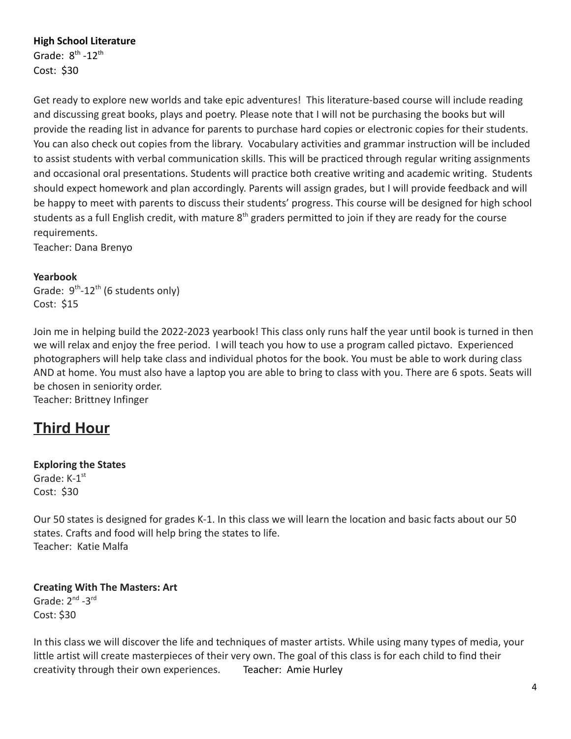## **High School Literature**

Grade:  $8^{\text{th}}$  -12<sup>th</sup> Cost: \$30

Get ready to explore new worlds and take epic adventures! This literature-based course will include reading and discussing great books, plays and poetry. Please note that I will not be purchasing the books but will provide the reading list in advance for parents to purchase hard copies or electronic copies for their students. You can also check out copies from the library. Vocabulary activities and grammar instruction will be included to assist students with verbal communication skills. This will be practiced through regular writing assignments and occasional oral presentations. Students will practice both creative writing and academic writing. Students should expect homework and plan accordingly. Parents will assign grades, but I will provide feedback and will be happy to meet with parents to discuss their students' progress. This course will be designed for high school students as a full English credit, with mature  $8<sup>th</sup>$  graders permitted to join if they are ready for the course requirements.

Teacher: Dana Brenyo

#### **Yearbook**

Grade:  $9^{th}$ -12<sup>th</sup> (6 students only) Cost: \$15

Join me in helping build the 2022-2023 yearbook! This class only runs half the year until book is turned in then we will relax and enjoy the free period. I will teach you how to use a program called pictavo. Experienced photographers will help take class and individual photos for the book. You must be able to work during class AND at home. You must also have a laptop you are able to bring to class with you. There are 6 spots. Seats will be chosen in seniority order.

Teacher: Brittney Infinger

# **Third Hour**

#### **Exploring the States**

Grade: K-1<sup>st</sup> Cost: \$30

Our 50 states is designed for grades K-1. In this class we will learn the location and basic facts about our 50 states. Crafts and food will help bring the states to life. Teacher: Katie Malfa

## **Creating With The Masters: Art** Grade:  $2^{nd}$  -3 $^{rd}$ Cost: \$30

In this class we will discover the life and techniques of master artists. While using many types of media, your little artist will create masterpieces of their very own. The goal of this class is for each child to find their creativity through their own experiences. Teacher: Amie Hurley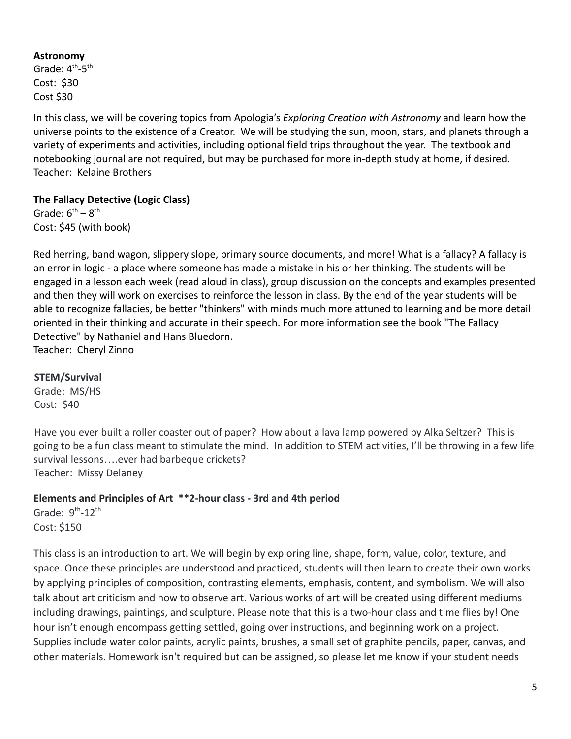#### **Astronomy**

Grade:  $4^{\text{th}}$ -5<sup>th</sup> Cost: \$30 Cost \$30

In this class, we will be covering topics from Apologia's *Exploring Creation with Astronomy* and learn how the universe points to the existence of a Creator. We will be studying the sun, moon, stars, and planets through a variety of experiments and activities, including optional field trips throughout the year. The textbook and notebooking journal are not required, but may be purchased for more in-depth study at home, if desired. Teacher: Kelaine Brothers

# **The Fallacy Detective (Logic Class)**

Grade:  $6^{th} - 8^{th}$ Cost: \$45 (with book)

Red herring, band wagon, slippery slope, primary source documents, and more! What is a fallacy? A fallacy is an error in logic - a place where someone has made a mistake in his or her thinking. The students will be engaged in a lesson each week (read aloud in class), group discussion on the concepts and examples presented and then they will work on exercises to reinforce the lesson in class. By the end of the year students will be able to recognize fallacies, be better "thinkers" with minds much more attuned to learning and be more detail oriented in their thinking and accurate in their speech. For more information see the book "The Fallacy Detective" by Nathaniel and Hans Bluedorn. Teacher: Cheryl Zinno

## **STEM/Survival**

Grade: MS/HS Cost: \$40

Have you ever built a roller coaster out of paper? How about a lava lamp powered by Alka Seltzer? This is going to be a fun class meant to stimulate the mind. In addition to STEM activities, I'll be throwing in a few life survival lessons….ever had barbeque crickets? Teacher: Missy Delaney

# **Elements and Principles of Art \*\*2-hour class - 3rd and 4th period**

Grade:  $9^{th}$ -12<sup>th</sup> Cost: \$150

This class is an introduction to art. We will begin by exploring line, shape, form, value, color, texture, and space. Once these principles are understood and practiced, students will then learn to create their own works by applying principles of composition, contrasting elements, emphasis, content, and symbolism. We will also talk about art criticism and how to observe art. Various works of art will be created using different mediums including drawings, paintings, and sculpture. Please note that this is a two-hour class and time flies by! One hour isn't enough encompass getting settled, going over instructions, and beginning work on a project. Supplies include water color paints, acrylic paints, brushes, a small set of graphite pencils, paper, canvas, and other materials. Homework isn't required but can be assigned, so please let me know if your student needs